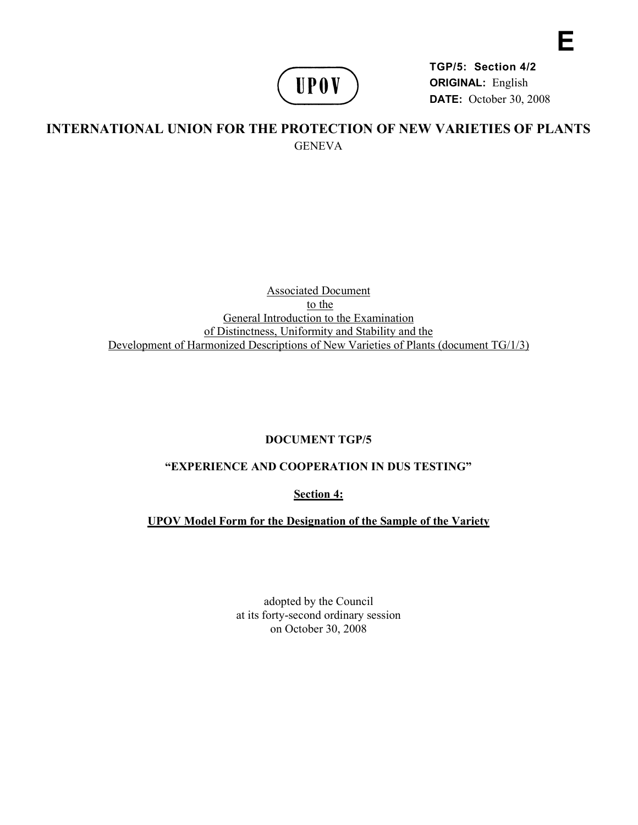

**TGP/5: Section 4/2 ORIGINAL:** English **DATE:** October 30, 2008 **E** 

# **INTERNATIONAL UNION FOR THE PROTECTION OF NEW VARIETIES OF PLANTS GENEVA**

#### Associated Document to the General Introduction to the Examination of Distinctness, Uniformity and Stability and the Development of Harmonized Descriptions of New Varieties of Plants (document TG/1/3)

## **DOCUMENT TGP/5**

## **"EXPERIENCE AND COOPERATION IN DUS TESTING"**

**Section 4:** 

**UPOV Model Form for the Designation of the Sample of the Variety** 

adopted by the Council at its forty-second ordinary session on October 30, 2008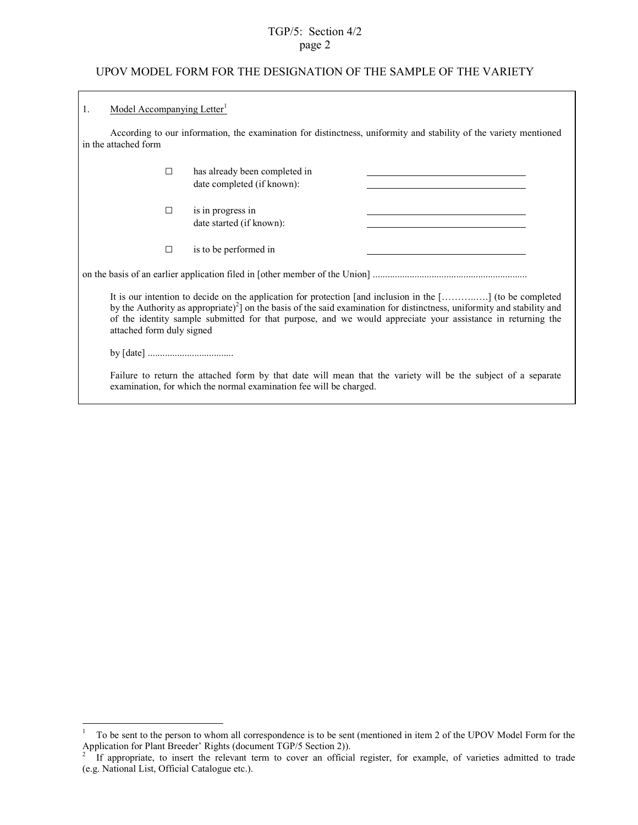### TGP/5: Section 4/2 page 2

#### UPOV MODEL FORM FOR THE DESIGNATION OF THE SAMPLE OF THE VARIETY

| 1.                                                                                                                                        | Model Accompanying Letter <sup>1</sup>                                                                                                                                                                                                                                                                                                                                                     |        |                                                             |  |  |
|-------------------------------------------------------------------------------------------------------------------------------------------|--------------------------------------------------------------------------------------------------------------------------------------------------------------------------------------------------------------------------------------------------------------------------------------------------------------------------------------------------------------------------------------------|--------|-------------------------------------------------------------|--|--|
| According to our information, the examination for distinctness, uniformity and stability of the variety mentioned<br>in the attached form |                                                                                                                                                                                                                                                                                                                                                                                            |        |                                                             |  |  |
|                                                                                                                                           |                                                                                                                                                                                                                                                                                                                                                                                            | $\Box$ | has already been completed in<br>date completed (if known): |  |  |
|                                                                                                                                           |                                                                                                                                                                                                                                                                                                                                                                                            | $\Box$ | is in progress in<br>date started (if known):               |  |  |
|                                                                                                                                           |                                                                                                                                                                                                                                                                                                                                                                                            | $\Box$ | is to be performed in                                       |  |  |
|                                                                                                                                           |                                                                                                                                                                                                                                                                                                                                                                                            |        |                                                             |  |  |
|                                                                                                                                           | It is our intention to decide on the application for protection [and inclusion in the [] (to be completed<br>by the Authority as appropriate) <sup>2</sup> on the basis of the said examination for distinctness, uniformity and stability and<br>of the identity sample submitted for that purpose, and we would appreciate your assistance in returning the<br>attached form duly signed |        |                                                             |  |  |
|                                                                                                                                           |                                                                                                                                                                                                                                                                                                                                                                                            |        |                                                             |  |  |
|                                                                                                                                           | Failure to return the attached form by that date will mean that the variety will be the subject of a separate<br>examination, for which the normal examination fee will be charged.                                                                                                                                                                                                        |        |                                                             |  |  |

 $\frac{1}{1}$  To be sent to the person to whom all correspondence is to be sent (mentioned in item 2 of the UPOV Model Form for the Application for Plant Breeder' Rights (document TGP/5 Section 2)).

If appropriate, to insert the relevant term to cover an official register, for example, of varieties admitted to trade (e.g. National List, Official Catalogue etc.).